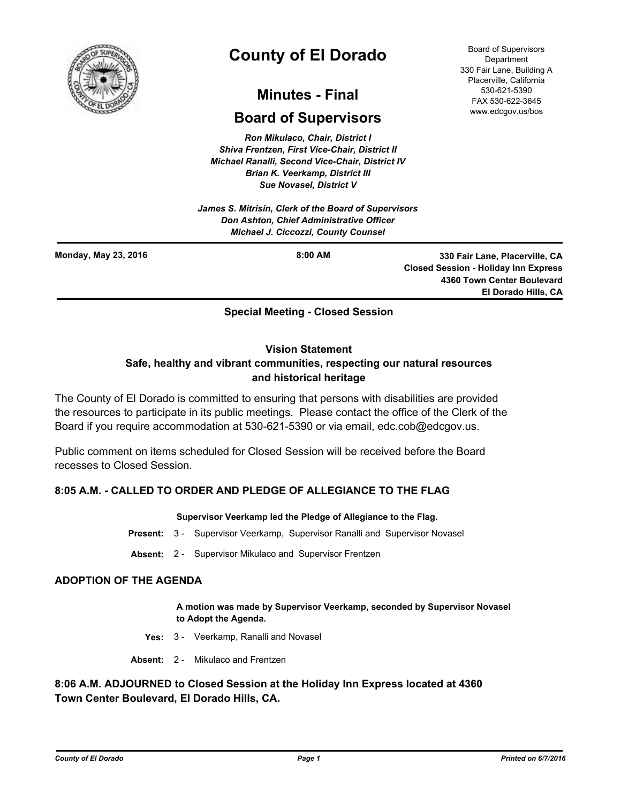

# **County of El Dorado**

# **Minutes - Final**

# **Board of Supervisors**

*Ron Mikulaco, Chair, District I Shiva Frentzen, First Vice-Chair, District II Michael Ranalli, Second Vice-Chair, District IV Brian K. Veerkamp, District III Sue Novasel, District V* 

*James S. Mitrisin, Clerk of the Board of Supervisors Don Ashton, Chief Administrative Officer Michael J. Ciccozzi, County Counsel*

Board of Supervisors **Department** 330 Fair Lane, Building A Placerville, California 530-621-5390 FAX 530-622-3645 www.edcgov.us/bos

**Monday, May 23, 2016**

**8:00 AM 330 Fair Lane, Placerville, CA Closed Session - Holiday Inn Express 4360 Town Center Boulevard El Dorado Hills, CA**

## **Special Meeting - Closed Session**

#### **Vision Statement**

# **Safe, healthy and vibrant communities, respecting our natural resources and historical heritage**

The County of El Dorado is committed to ensuring that persons with disabilities are provided the resources to participate in its public meetings. Please contact the office of the Clerk of the Board if you require accommodation at 530-621-5390 or via email, edc.cob@edcgov.us.

Public comment on items scheduled for Closed Session will be received before the Board recesses to Closed Session.

## **8:05 A.M. - CALLED TO ORDER AND PLEDGE OF ALLEGIANCE TO THE FLAG**

#### **Supervisor Veerkamp led the Pledge of Allegiance to the Flag.**

- **Present:** 3 Supervisor Veerkamp, Supervisor Ranalli and Supervisor Novasel
- **Absent:** 2 Supervisor Mikulaco and Supervisor Frentzen

#### **ADOPTION OF THE AGENDA**

**A motion was made by Supervisor Veerkamp, seconded by Supervisor Novasel to Adopt the Agenda.**

- **Yes:** 3 Veerkamp, Ranalli and Novasel
- **Absent:** 2 Mikulaco and Frentzen

### **8:06 A.M. ADJOURNED to Closed Session at the Holiday Inn Express located at 4360 Town Center Boulevard, El Dorado Hills, CA.**